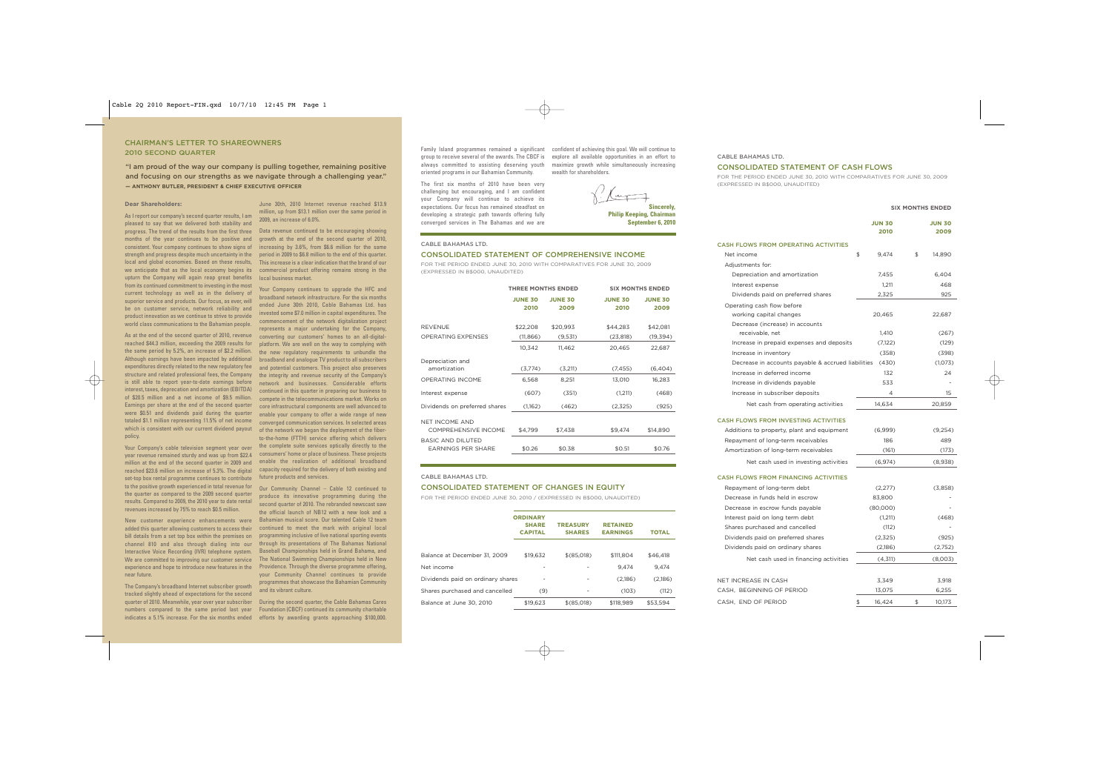# CHAIRMAN'S LETTER TO SHAREOWNERS 2010 SECOND QUARTER

"I am proud of the way our company is pulling together, remaining positive and focusing on our strengths as we navigate through a challenging year." **— ANTHONY BUTLER, PRESIDENT & CHIEF EXECUTIVE OFFICER**

### **Dear Shareholders:**

As I report our company's second quarter results, I am pleased to say that we delivered both stability and progress. The trend of the results from the first three Data revenue continued to be encouraging showing months of the year continues to be positive and consistent. Your company continues to show signs of strength and progress despite much uncertainty in the local and global economies. Based on these results, we anticipate that as the local economy begins its upturn the Company will again reap great benefits from its continued commitment to investing in the most current technology as well as in the delivery of superior service and products. Our focus, as ever, will be on customer service, network reliability and product innovation as we continue to strive to provide world class communications to the Bahamian people.

As at the end of the second quarter of 2010, revenue reached \$44.3 million, exceeding the 2009 results for the same period by 5.2%, an increase of \$2.2 million. Although earnings have been impacted by additional expenditures directly related to the new regulatory fee structure and related professional fees, the Company is still able to report year-to-date earnings before interest, taxes, deprecation and amortization (EBITDA) of \$20.5 million and a net income of \$9.5 million. Earnings per share at the end of the second quarter were \$0.51 and dividends paid during the quarter totaled \$1.1 million representing 11.5% of net income which is consistent with our current dividend payout policy.

Your Company's cable television segment year over year revenue remained sturdy and was up from \$22.4 million at the end of the second quarter in 2009 and reached \$23.6 million an increase of 5.3%. The digital  $\;$  capacity required for the delivery of both existing and set-top box rental programme continues to contribute to the positive growth experienced in total revenue for the quarter as compared to the 2009 second quarter results. Compared to 2009, the 2010 year to date rental revenues increased by 75% to reach \$0.5 million.

New customer experience enhancements were added this quarter allowing customers to access their bill details from a set top box within the premises on channel 810 and also through dialing into our Interactive Voice Recording (IVR) telephone system. We are committed to improving our customer service experience and hope to introduce new features in the near future.

The Company's broadband Internet subscriber growth tracked slightly ahead of expectations for the second quarter of 2010. Meanwhile, year over year subscriber During the second quarter, the Cable Bahamas Cares numbers compared to the same period last year Foundation (CBCF) continued its community charitable indicates a 5.1% increase. For the six months ended efforts by awarding grants approaching \$100,000.

June 30th, 2010 Internet revenue reached \$13.9 million, up from \$13.1 million over the same period in 2009, an increase of 6.0%.

growth at the end of the second quarter of 2010, increasing by 3.6%, from \$6.6 million for the same period in 2009 to \$6.8 million to the end of this quarter. This increase is a clear indication that the brand of our commercial product offering remains strong in the local business market.

Your Company continues to upgrade the HFC and broadband network infrastructure. For the six months ended June 30th 2010, Cable Bahamas Ltd. has invested some \$7.0 million in capital expenditures. The commencement of the network digitalization project represents a major undertaking for the Company, converting our customers' homes to an all-digitalplatform. We are well on the way to complying with the new regulatory requirements to unbundle the broadband and analogue TV product to all subscribers and potential customers. This project also preserves the integrity and revenue security of the Company's network and businesses. Considerable efforts continued in this quarter in preparing our business to compete in the telecommunications market. Works on core infrastructural components are well advanced to enable your company to offer a wide range of new converged communication services. In selected areas of the network we began the deployment of the fiberto-the-home (FTTH) service offering which delivers the complete suite services optically directly to the consumers' home or place of business. These projects enable the realization of additional broadband future products and services.

Our Community Channel – Cable 12 continued to produce its innovative programming during the second quarter of 2010. The rebranded newscast saw the official launch of NB12 with a new look and a Bahamian musical score. Our talented Cable 12 team continued to meet the mark with original local programming inclusive of live national sporting events through its presentations of The Bahamas National Baseball Championships held in Grand Bahama, and The National Swimming Championships held in New Providence. Through the diverse programme offering, your Community Channel continues to provide programmes that showcase the Bahamian Community and its vibrant culture.

Family Island programmes remained a significant confident of achieving this goal. We will continue to group to receive several of the awards. The CBCF is always committed to assisting deserving youth oriented programs in our Bahamian Community.

The first six months of 2010 have been very challenging but encouraging, and I am confident your Company will continue to achieve its expectations. Our focus has remained steadfast on developing a strategic path towards offering fully converged services in The Bahamas and we are

## CABLE BAHAMAS LTD.

## CONSOLIDATED STATEMENT OF COMPREHENSIVE INCOME

FOR THE PERIOD ENDED JUNE 30, 2010 WITH COMPARATIVES FOR JUNE 30, 2009 (EXPRESSED IN B\$000, UNAUDITED)

|                                                | <b>THREE MONTHS ENDED</b> |                        | <b>SIX MONTHS ENDED</b> |                        |  |  |
|------------------------------------------------|---------------------------|------------------------|-------------------------|------------------------|--|--|
|                                                | <b>JUNE 30</b><br>2010    | <b>JUNE 30</b><br>2009 | <b>JUNE 30</b><br>2010  | <b>JUNE 30</b><br>2009 |  |  |
| <b>REVENUE</b>                                 | \$22,208                  | \$20,993               | \$44,283                | \$42,081               |  |  |
| <b>OPERATING EXPENSES</b>                      | (11,866)                  | (9,531)                | (23,818)                | (19,394)               |  |  |
|                                                | 10,342                    | 11,462                 | 20,465                  | 22,687                 |  |  |
| Depreciation and<br>amortization               | (3,774)                   | (3,211)                | (7, 455)                | (6,404)                |  |  |
| <b>OPERATING INCOME</b>                        | 6,568                     | 8.251                  | 13,010                  | 16.283                 |  |  |
| Interest expense                               | (607)                     | (351)                  | (1,211)                 | (468)                  |  |  |
| Dividends on preferred shares                  | (1,162)                   | (462)                  | (2,325)                 | (925)                  |  |  |
| <b>NET INCOME AND</b><br>COMPREHENSIVE INCOME  | \$4,799                   | \$7,438                | \$9,474                 | \$14,890               |  |  |
| <b>BASIC AND DILUTED</b><br>EARNINGS PER SHARE | \$0.26                    | \$0.38                 | \$0.51                  | \$0.76                 |  |  |

### CABLE BAHAMAS LTD.

### CONSOLIDATED STATEMENT OF CHANGES IN EQUITY

FOR THE PERIOD ENDED JUNE 30, 2010 / (EXPRESSED IN B\$000, UNAUDITED)

|                                   | <b>ORDINARY</b><br><b>SHARE</b><br><b>CAPITAL</b> | <b>TREASURY</b><br><b>SHARES</b> | <b>RETAINED</b><br><b>EARNINGS</b> | <b>TOTAL</b> |
|-----------------------------------|---------------------------------------------------|----------------------------------|------------------------------------|--------------|
|                                   |                                                   |                                  |                                    |              |
| Balance at December 31. 2009      | \$19.632                                          | \$(85,018)                       | \$111,804                          | \$46,418     |
| Net income                        |                                                   |                                  | 9.474                              | 9.474        |
| Dividends paid on ordinary shares |                                                   |                                  | (2,186)                            | (2,186)      |
| Shares purchased and cancelled    | (9)                                               |                                  | (103)                              | (112)        |
| Balance at June 30. 2010          | \$19,623                                          | \$(85,018)                       | \$118,989                          | \$53.594     |

### CABLE BAHAMAS LTD.

# CONSOLIDATED STATEMENT OF CASH FLOWS

FOR THE PERIOD ENDED JUNE 30, 2010 WITH COMPARATIVES FOR JUNE 30, 2009 (EXPRESSED IN B\$000, UNAUDITED)

### **SIX MONTHS ENDED**

|                                                       | JUN 30<br>2010 | JUN 30<br>2009 |
|-------------------------------------------------------|----------------|----------------|
|                                                       |                |                |
| <b>CASH FLOWS FROM OPERATING ACTIVITIES</b>           |                |                |
| Net income                                            | \$<br>9,474    | \$<br>14,890   |
| Adjustments for:                                      |                |                |
| Depreciation and amortization                         | 7,455          | 6,404          |
| Interest expense                                      | 1,211          | 468            |
| Dividends paid on preferred shares                    | 2,325          | 925            |
| Operating cash flow before<br>working capital changes | 20,465         | 22,687         |
| Decrease (increase) in accounts                       |                |                |
| receivable, net                                       | 1,410          | (267)          |
| Increase in prepaid expenses and deposits             | (7,122)        | (129)          |
| Increase in inventory                                 | (358)          | (398)          |
| Decrease in accounts payable & accrued liabilities    | (430)          | (1,073)        |
| Increase in deferred income                           | 132            | 24             |
| Increase in dividends payable                         | 533            |                |
| Increase in subscriber deposits                       | 4              | 15             |
| Net cash from operating activities                    | 14,634         | 20,859         |
| <b>CASH FLOWS FROM INVESTING ACTIVITIES</b>           |                |                |
| Additions to property, plant and equipment            | (6,999)        | (9,254)        |
| Repayment of long-term receivables                    | 186            | 489            |
| Amortization of long-term receivables                 | (161)          | (173)          |
| Net cash used in investing activities                 | (6, 974)       | (8,938)        |
| <b>CASH FLOWS FROM FINANCING ACTIVITIES</b>           |                |                |
| Repayment of long-term debt                           | (2,277)        | (3,858)        |
| Decrease in funds held in escrow                      | 83,800         |                |
| Decrease in escrow funds payable                      | (80,000)       |                |
| Interest paid on long term debt                       | (1,211)        | (468)          |
| Shares purchased and cancelled                        | (112)          |                |
| Dividends paid on preferred shares                    | (2,325)        | (925)          |
| Dividends paid on ordinary shares                     | (2,186)        | (2,752)        |
| Net cash used in financing activities                 | (4,311)        | (8,003)        |
|                                                       |                |                |
| NET INCREASE IN CASH                                  | 3,349          | 3,918          |
| CASH, BEGINNING OF PERIOD                             | 13,075         | 6,255          |
| CASH, END OF PERIOD                                   | \$<br>16,424   | \$<br>10,173   |
|                                                       |                |                |

**Sincerely, Philip Keeping, Chairman September 6, 2010**

explore all available opportunities in an effort to maximize growth while simultaneously increasing

wealth for shareholders.